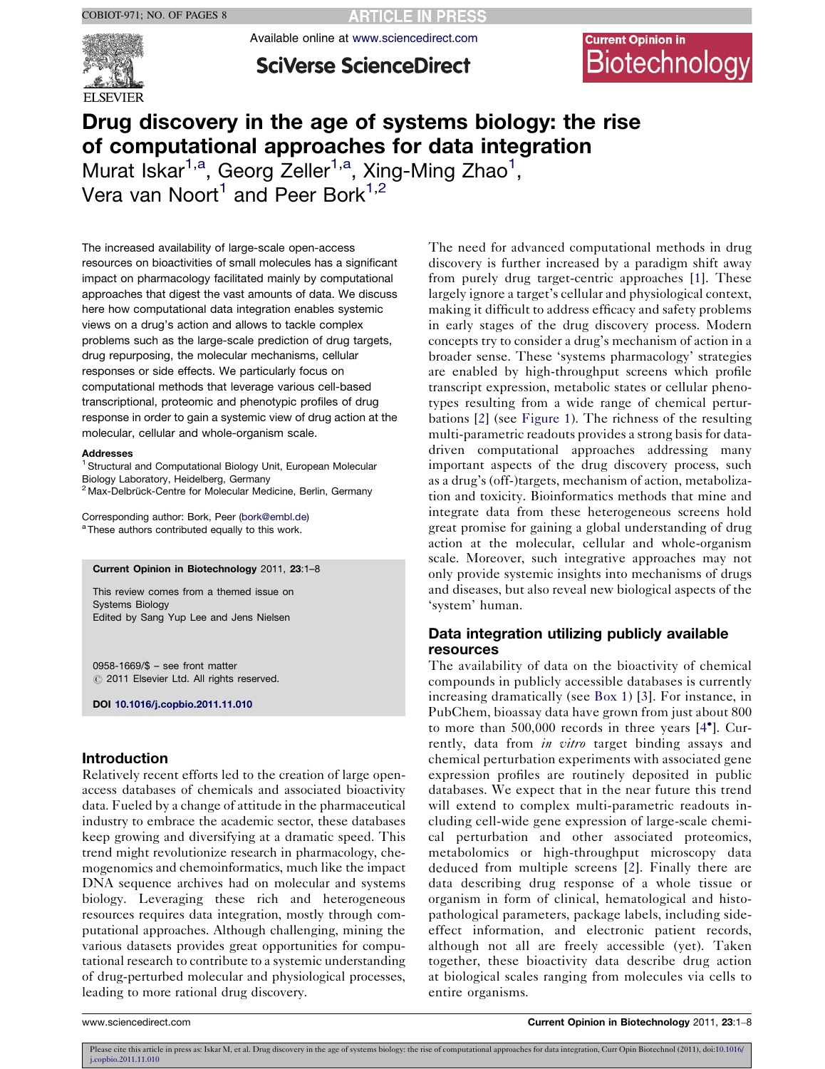**RTICLE IN PRESS** 



**SciVerse ScienceDirect** 

Available online at [www.sciencedirect.com](http://www.sciencedirect.com/science/journal/09581669)

# **Current Opinion in** Biotechnology

# Drug discovery in the age of systems biology: the rise of computational approaches for data integration

Murat Iskar<sup>[1](#page-0-0),a</sup>, Georg Zeller<sup>[1,](#page-0-0)a</sup>, Xing-Ming Zhao<sup>1</sup>, Vera van Noort<sup>[1](#page-0-0)</sup> and Peer Bork<sup>[1,2](#page-0-0)</sup>

The increased availability of large-scale open-access resources on bioactivities of small molecules has a significant impact on pharmacology facilitated mainly by computational approaches that digest the vast amounts of data. We discuss here how computational data integration enables systemic views on a drug's action and allows to tackle complex problems such as the large-scale prediction of drug targets, drug repurposing, the molecular mechanisms, cellular responses or side effects. We particularly focus on computational methods that leverage various cell-based transcriptional, proteomic and phenotypic profiles of drug response in order to gain a systemic view of drug action at the molecular, cellular and whole-organism scale.

#### **Addresses**

<sup>1</sup> Structural and Computational Biology Unit, European Molecular Biology Laboratory, Heidelberg, Germany  $2$  Max-Delbrück-Centre for Molecular Medicine, Berlin, Germany

Corresponding author: Bork, Peer [\(bork@embl.de\)](mailto:bork@embl.de) a These authors contributed equally to this work.

#### Current Opinion in Biotechnology 2011, 23:1–8

This review comes from a themed issue on Systems Biology Edited by Sang Yup Lee and Jens Nielsen

0958-1669/\$ – see front matter  $\circ$  2011 Elsevier Ltd. All rights reserved.

DOI [10.1016/j.copbio.2011.11.010](http://dx.doi.org/10.1016/j.copbio.2011.11.010)

# Introduction

Relatively recent efforts led to the creation of large openaccess databases of chemicals and associated bioactivity data. Fueled by a change of attitude in the pharmaceutical industry to embrace the academic sector, these databases keep growing and diversifying at a dramatic speed. This trend might revolutionize research in pharmacology, chemogenomics and chemoinformatics, much like the impact DNA sequence archives had on molecular and systems biology. Leveraging these rich and heterogeneous resources requires data integration, mostly through computational approaches. Although challenging, mining the various datasets provides great opportunities for computational research to contribute to a systemic understanding of drug-perturbed molecular and physiological processes, leading to more rational drug discovery.

The need for advanced computational methods in drug discovery is further increased by a paradigm shift away from purely drug target-centric approaches [[1\]](#page-5-0). These largely ignore a target's cellular and physiological context, making it difficult to address efficacy and safety problems in early stages of the drug discovery process. Modern concepts try to consider a drug's mechanism of action in a broader sense. These 'systems pharmacology' strategies are enabled by high-throughput screens which profile transcript expression, metabolic states or cellular phenotypes resulting from a wide range of chemical perturbations [\[2](#page-5-0)] (see [Figure](#page-1-0) 1). The richness of the resulting multi-parametric readouts provides a strong basis for datadriven computational approaches addressing many important aspects of the drug discovery process, such as a drug's (off-)targets, mechanism of action, metabolization and toxicity. Bioinformatics methods that mine and integrate data from these heterogeneous screens hold great promise for gaining a global understanding of drug action at the molecular, cellular and whole-organism scale. Moreover, such integrative approaches may not only provide systemic insights into mechanisms of drugs and diseases, but also reveal new biological aspects of the 'system' human.

# Data integration utilizing publicly available resources

The availability of data on the bioactivity of chemical compounds in publicly accessible databases is currently increasing dramatically (see [Box](#page-2-0) 1) [\[3](#page-5-0)]. For instance, in PubChem, bioassay data have grown from just about 800 to more than  $500,000$  records in three years  $[4^{\bullet}]$  $[4^{\bullet}]$  $[4^{\bullet}]$ . Currently, data from in vitro target binding assays and chemical perturbation experiments with associated gene expression profiles are routinely deposited in public databases. We expect that in the near future this trend will extend to complex multi-parametric readouts including cell-wide gene expression of large-scale chemical perturbation and other associated proteomics, metabolomics or high-throughput microscopy data deduced from multiple screens [[2\]](#page-5-0). Finally there are data describing drug response of a whole tissue or organism in form of clinical, hematological and histopathological parameters, package labels, including sideeffect information, and electronic patient records, although not all are freely accessible (yet). Taken together, these bioactivity data describe drug action at biological scales ranging from molecules via cells to entire organisms.

<span id="page-0-0"></span>

www.sciencedirect.com **Current Opinion in Biotechnology** 2011, 23:1–8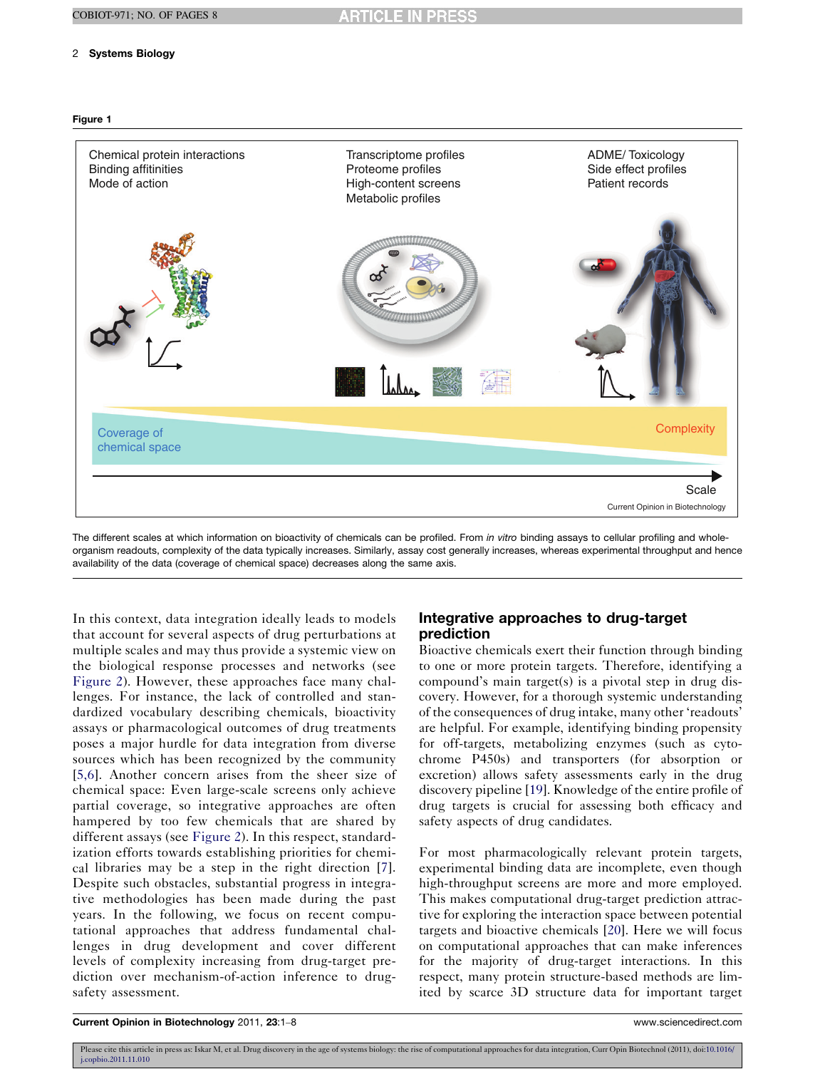Figure 1



The different scales at which information on bioactivity of chemicals can be profiled. From in vitro binding assays to cellular profiling and wholeorganism readouts, complexity of the data typically increases. Similarly, assay cost generally increases, whereas experimental throughput and hence availability of the data (coverage of chemical space) decreases along the same axis.

In this context, data integration ideally leads to models that account for several aspects of drug perturbations at multiple scales and may thus provide a systemic view on the biological response processes and networks (see [Figure](#page-3-0) 2). However, these approaches face many challenges. For instance, the lack of controlled and standardized vocabulary describing chemicals, bioactivity assays or pharmacological outcomes of drug treatments poses a major hurdle for data integration from diverse sources which has been recognized by the community [\[5,6](#page-5-0)]. Another concern arises from the sheer size of chemical space: Even large-scale screens only achieve partial coverage, so integrative approaches are often hampered by too few chemicals that are shared by different assays (see [Figure](#page-3-0) 2). In this respect, standardization efforts towards establishing priorities for chemical libraries may be a step in the right direction [[7](#page-5-0)]. Despite such obstacles, substantial progress in integrative methodologies has been made during the past years. In the following, we focus on recent computational approaches that address fundamental challenges in drug development and cover different levels of complexity increasing from drug-target prediction over mechanism-of-action inference to drugsafety assessment.

# Integrative approaches to drug-target prediction

Bioactive chemicals exert their function through binding to one or more protein targets. Therefore, identifying a compound's main target(s) is a pivotal step in drug discovery. However, for a thorough systemic understanding of the consequences of drug intake, many other 'readouts' are helpful. For example, identifying binding propensity for off-targets, metabolizing enzymes (such as cytochrome P450s) and transporters (for absorption or excretion) allows safety assessments early in the drug discovery pipeline [\[19](#page-6-0)]. Knowledge of the entire profile of drug targets is crucial for assessing both efficacy and safety aspects of drug candidates.

For most pharmacologically relevant protein targets, experimental binding data are incomplete, even though high-throughput screens are more and more employed. This makes computational drug-target prediction attractive for exploring the interaction space between potential targets and bioactive chemicals [\[20](#page-6-0)]. Here we will focus on computational approaches that can make inferences for the majority of drug-target interactions. In this respect, many protein structure-based methods are limited by scarce 3D structure data for important target

<span id="page-1-0"></span>Current Opinion in Biotechnology 2011, 23:1–8 www.sciencedirect.com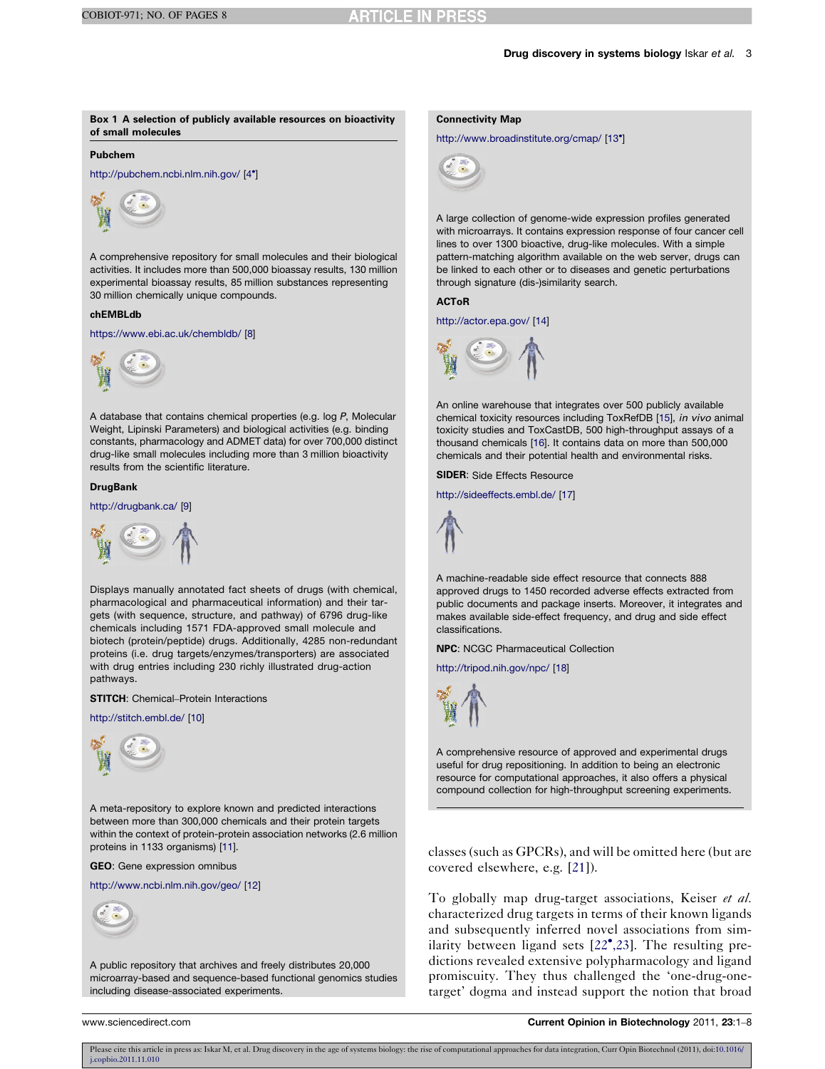#### Box 1 A selection of publicly available resources on bioactivity of small molecules

## Pubchem

<http://pubchem.ncbi.nlm.nih.gov/> [[4](#page-5-0)<sup>\*</sup>]



A comprehensive repository for small molecules and their biological activities. It includes more than 500,000 bioassay results, 130 million experimental bioassay results, 85 million substances representing 30 million chemically unique compounds.

### chEMBLdb

<https://www.ebi.ac.uk/chembldb/> [[8\]](#page-5-0)



A database that contains chemical properties (e.g. log P, Molecular Weight, Lipinski Parameters) and biological activities (e.g. binding constants, pharmacology and ADMET data) for over 700,000 distinct drug-like small molecules including more than 3 million bioactivity results from the scientific literature.

#### **DrugBank**

<http://drugbank.ca/> [\[9](#page-5-0)]



Displays manually annotated fact sheets of drugs (with chemical, pharmacological and pharmaceutical information) and their targets (with sequence, structure, and pathway) of 6796 drug-like chemicals including 1571 FDA-approved small molecule and biotech (protein/peptide) drugs. Additionally, 4285 non-redundant proteins (i.e. drug targets/enzymes/transporters) are associated with drug entries including 230 richly illustrated drug-action pathways.

#### STITCH: Chemical–Protein Interactions

#### <http://stitch.embl.de/> [[10\]](#page-5-0)



A meta-repository to explore known and predicted interactions between more than 300,000 chemicals and their protein targets within the context of protein-protein association networks (2.6 million proteins in 1133 organisms) [[11](#page-5-0)].

GEO: Gene expression omnibus

<http://www.ncbi.nlm.nih.gov/geo/> [\[12\]](#page-5-0)



A public repository that archives and freely distributes 20,000 microarray-based and sequence-based functional genomics studies including disease-associated experiments.

#### Connectivity Map

<http://www.broadinstitute.org/cmap/> [\[13](#page-5-0)<sup>\*</sup>]



A large collection of genome-wide expression profiles generated with microarrays. It contains expression response of four cancer cell lines to over 1300 bioactive, drug-like molecules. With a simple pattern-matching algorithm available on the web server, drugs can be linked to each other or to diseases and genetic perturbations through signature (dis-)similarity search.

#### ACToR

<http://actor.epa.gov/> [[14\]](#page-6-0)



An online warehouse that integrates over 500 publicly available chemical toxicity resources including ToxRefDB [\[15\]](#page-6-0), in vivo animal toxicity studies and ToxCastDB, 500 high-throughput assays of a thousand chemicals [\[16](#page-6-0)]. It contains data on more than 500,000 chemicals and their potential health and environmental risks.

SIDER: Side Effects Resource

<http://sideeffects.embl.de/> [\[17](#page-6-0)]



A machine-readable side effect resource that connects 888 approved drugs to 1450 recorded adverse effects extracted from public documents and package inserts. Moreover, it integrates and makes available side-effect frequency, and drug and side effect classifications.

NPC: NCGC Pharmaceutical Collection

<http://tripod.nih.gov/npc/> [[18\]](#page-6-0)



A comprehensive resource of approved and experimental drugs useful for drug repositioning. In addition to being an electronic resource for computational approaches, it also offers a physical compound collection for high-throughput screening experiments.

classes (such as GPCRs), and will be omitted here (but are covered elsewhere, e.g. [[21\]](#page-6-0)).

To globally map drug-target associations, Keiser et al. characterized drug targets in terms of their known ligands and subsequently inferred novel associations from similarity between ligand sets  $[22^{\bullet}, 23]$  $[22^{\bullet}, 23]$ . The resulting predictions revealed extensive polypharmacology and ligand promiscuity. They thus challenged the 'one-drug-onetarget' dogma and instead support the notion that broad

<span id="page-2-0"></span>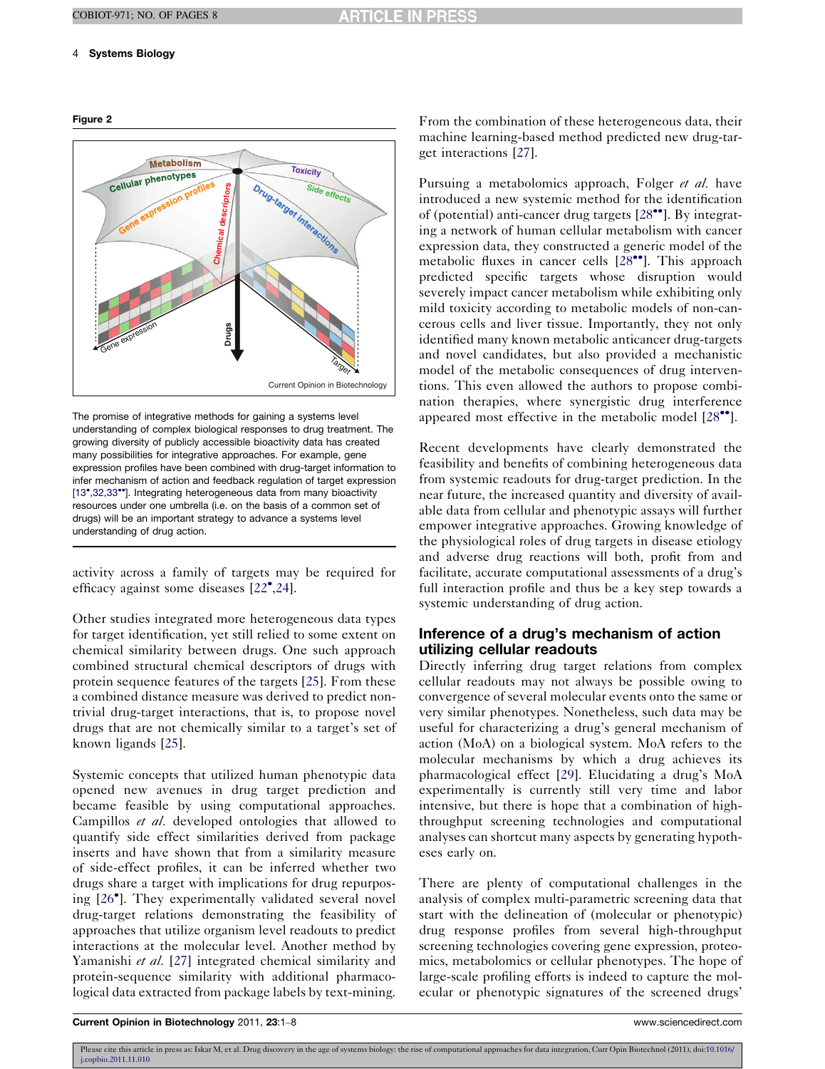Figure 2



The promise of integrative methods for gaining a systems level understanding of complex biological responses to drug treatment. The growing diversity of publicly accessible bioactivity data has created many possibilities for integrative approaches. For example, gene expression profiles have been combined with drug-target information to infer mechanism of action and feedback regulation of target expression [[13](#page-5-0)\*[,32,33](#page-5-0)\*\*]. Integrating heterogeneous data from many bioactivity resources under one umbrella (i.e. on the basis of a common set of drugs) will be an important strategy to advance a systems level understanding of drug action.

activity across a family of targets may be required for efficacy against some diseases  $[22^{\bullet}, 24]$  $[22^{\bullet}, 24]$  $[22^{\bullet}, 24]$ .

Other studies integrated more heterogeneous data types for target identification, yet still relied to some extent on chemical similarity between drugs. One such approach combined structural chemical descriptors of drugs with protein sequence features of the targets [\[25](#page-6-0)]. From these a combined distance measure was derived to predict nontrivial drug-target interactions, that is, to propose novel drugs that are not chemically similar to a target's set of known ligands [\[25](#page-6-0)].

Systemic concepts that utilized human phenotypic data opened new avenues in drug target prediction and became feasible by using computational approaches. Campillos et al. developed ontologies that allowed to quantify side effect similarities derived from package inserts and have shown that from a similarity measure of side-effect profiles, it can be inferred whether two drugs share a target with implications for drug repurpos-ing [[26](#page-6-0)<sup>°</sup>]. They experimentally validated several novel drug-target relations demonstrating the feasibility of approaches that utilize organism level readouts to predict interactions at the molecular level. Another method by Yamanishi et al. [\[27](#page-6-0)] integrated chemical similarity and protein-sequence similarity with additional pharmacological data extracted from package labels by text-mining.

From the combination of these heterogeneous data, their machine learning-based method predicted new drug-target interactions [[27\]](#page-6-0).

Pursuing a metabolomics approach, Folger et al. have introduced a new systemic method for the identification of (potential) anti-cancer drug targets  $[28\text{'''}]$  $[28\text{'''}]$  $[28\text{'''}]$ . By integrating a network of human cellular metabolism with cancer expression data, they constructed a generic model of the metabolic fluxes in cancer cells  $[28\cdot]$  $[28\cdot]$  $[28\cdot]$ . This approach predicted specific targets whose disruption would severely impact cancer metabolism while exhibiting only mild toxicity according to metabolic models of non-cancerous cells and liver tissue. Importantly, they not only identified many known metabolic anticancer drug-targets and novel candidates, but also provided a mechanistic model of the metabolic consequences of drug interventions. This even allowed the authors to propose combination therapies, where synergistic drug interference appeared most effective in the metabolic model  $[28\text{°}$  $[28\text{°}$  $[28\text{°}$ .

Recent developments have clearly demonstrated the feasibility and benefits of combining heterogeneous data from systemic readouts for drug-target prediction. In the near future, the increased quantity and diversity of available data from cellular and phenotypic assays will further empower integrative approaches. Growing knowledge of the physiological roles of drug targets in disease etiology and adverse drug reactions will both, profit from and facilitate, accurate computational assessments of a drug's full interaction profile and thus be a key step towards a systemic understanding of drug action.

# Inference of a drug's mechanism of action utilizing cellular readouts

Directly inferring drug target relations from complex cellular readouts may not always be possible owing to convergence of several molecular events onto the same or very similar phenotypes. Nonetheless, such data may be useful for characterizing a drug's general mechanism of action (MoA) on a biological system. MoA refers to the molecular mechanisms by which a drug achieves its pharmacological effect [\[29](#page-6-0)]. Elucidating a drug's MoA experimentally is currently still very time and labor intensive, but there is hope that a combination of highthroughput screening technologies and computational analyses can shortcut many aspects by generating hypotheses early on.

There are plenty of computational challenges in the analysis of complex multi-parametric screening data that start with the delineation of (molecular or phenotypic) drug response profiles from several high-throughput screening technologies covering gene expression, proteomics, metabolomics or cellular phenotypes. The hope of large-scale profiling efforts is indeed to capture the molecular or phenotypic signatures of the screened drugs'

<span id="page-3-0"></span>Current Opinion in Biotechnology 2011, 23:1–8 www.sciencedirect.com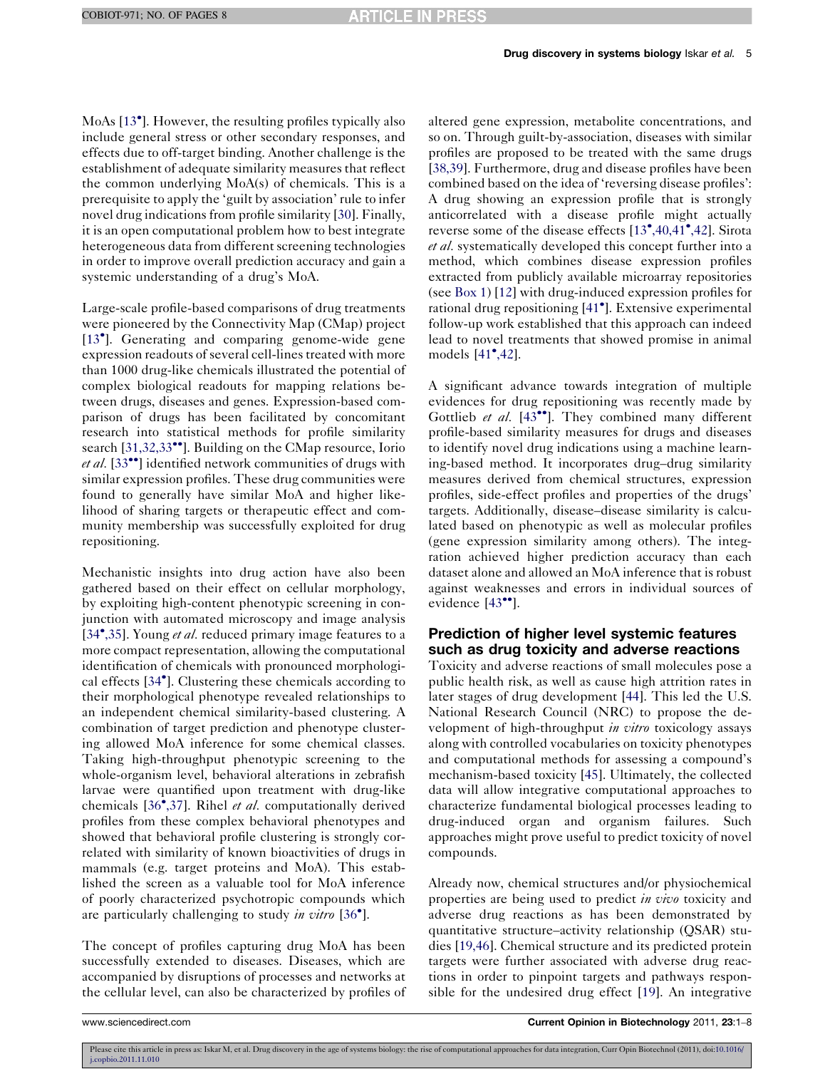MoAs [[13](#page-5-0)<sup>\*</sup>]. However, the resulting profiles typically also include general stress or other secondary responses, and effects due to off-target binding. Another challenge is the establishment of adequate similarity measures that reflect the common underlying MoA(s) of chemicals. This is a prerequisite to apply the 'guilt by association' rule to infer novel drug indications from profile similarity [[30\]](#page-6-0). Finally, it is an open computational problem how to best integrate heterogeneous data from different screening technologies in order to improve overall prediction accuracy and gain a systemic understanding of a drug's MoA.

Large-scale profile-based comparisons of drug treatments were pioneered by the Connectivity Map (CMap) project [\[13](#page-5-0)<sup>\*</sup>]. Generating and comparing genome-wide gene expression readouts of several cell-lines treated with more than 1000 drug-like chemicals illustrated the potential of complex biological readouts for mapping relations between drugs, diseases and genes. Expression-based comparison of drugs has been facilitated by concomitant research into statistical methods for profile similarity search  $[31,32,33$ <sup>\*\*</sup>]. Building on the CMap resource, Iorio *et al.* [\[33](#page-6-0) $\cdot$ <sup>o</sup>] identified network communities of drugs with similar expression profiles. These drug communities were found to generally have similar MoA and higher likelihood of sharing targets or therapeutic effect and community membership was successfully exploited for drug repositioning.

Mechanistic insights into drug action have also been gathered based on their effect on cellular morphology, by exploiting high-content phenotypic screening in conjunction with automated microscopy and image analysis [\[34](#page-6-0)<sup>•</sup>[,35](#page-6-0)]. Young et al. reduced primary image features to a more compact representation, allowing the computational identification of chemicals with pronounced morphologi-cal effects [[34](#page-6-0)<sup>°</sup>]. Clustering these chemicals according to their morphological phenotype revealed relationships to an independent chemical similarity-based clustering. A combination of target prediction and phenotype clustering allowed MoA inference for some chemical classes. Taking high-throughput phenotypic screening to the whole-organism level, behavioral alterations in zebrafish larvae were quantified upon treatment with drug-like chemicals [[36](#page-6-0)<sup>•</sup>[,37](#page-6-0)]. Rihel et al. computationally derived profiles from these complex behavioral phenotypes and showed that behavioral profile clustering is strongly correlated with similarity of known bioactivities of drugs in mammals (e.g. target proteins and MoA). This established the screen as a valuable tool for MoA inference of poorly characterized psychotropic compounds which are particularly challenging to study in vitro [\[36](#page-6-0)<sup>°</sup>].

The concept of profiles capturing drug MoA has been successfully extended to diseases. Diseases, which are accompanied by disruptions of processes and networks at the cellular level, can also be characterized by profiles of altered gene expression, metabolite concentrations, and so on. Through guilt-by-association, diseases with similar profiles are proposed to be treated with the same drugs [[38,39\]](#page-6-0). Furthermore, drug and disease profiles have been combined based on the idea of 'reversing disease profiles': A drug showing an expression profile that is strongly anticorrelated with a disease profile might actually reverse some of the disease effects  $[13^{\bullet},40,41^{\bullet},42]$  $[13^{\bullet},40,41^{\bullet},42]$  $[13^{\bullet},40,41^{\bullet},42]$  $[13^{\bullet},40,41^{\bullet},42]$  $[13^{\bullet},40,41^{\bullet},42]$  $[13^{\bullet},40,41^{\bullet},42]$ . Sirota et al. systematically developed this concept further into a method, which combines disease expression profiles extracted from publicly available microarray repositories (see [Box](#page-2-0) 1) [\[12](#page-5-0)] with drug-induced expression profiles for rational drug repositioning [\[41](#page-6-0)<sup>°</sup>]. Extensive experimental follow-up work established that this approach can indeed lead to novel treatments that showed promise in animal models  $[41^\bullet, 42]$  $[41^\bullet, 42]$ .

A significant advance towards integration of multiple evidences for drug repositioning was recently made by Gottlieb et al. [[43](#page-7-0)<sup>\*</sup>]. They combined many different profile-based similarity measures for drugs and diseases to identify novel drug indications using a machine learning-based method. It incorporates drug–drug similarity measures derived from chemical structures, expression profiles, side-effect profiles and properties of the drugs' targets. Additionally, disease–disease similarity is calculated based on phenotypic as well as molecular profiles (gene expression similarity among others). The integration achieved higher prediction accuracy than each dataset alone and allowed an MoA inference that is robust against weaknesses and errors in individual sources of evidence  $[43$ <sup> $\degree$ </sup>].

# Prediction of higher level systemic features such as drug toxicity and adverse reactions

Toxicity and adverse reactions of small molecules pose a public health risk, as well as cause high attrition rates in later stages of drug development [[44\]](#page-7-0). This led the U.S. National Research Council (NRC) to propose the development of high-throughput in vitro toxicology assays along with controlled vocabularies on toxicity phenotypes and computational methods for assessing a compound's mechanism-based toxicity [\[45](#page-7-0)]. Ultimately, the collected data will allow integrative computational approaches to characterize fundamental biological processes leading to drug-induced organ and organism failures. Such approaches might prove useful to predict toxicity of novel compounds.

Already now, chemical structures and/or physiochemical properties are being used to predict *in vivo* toxicity and adverse drug reactions as has been demonstrated by quantitative structure–activity relationship (QSAR) studies [\[19,46\]](#page-6-0). Chemical structure and its predicted protein targets were further associated with adverse drug reactions in order to pinpoint targets and pathways responsible for the undesired drug effect [[19\]](#page-6-0). An integrative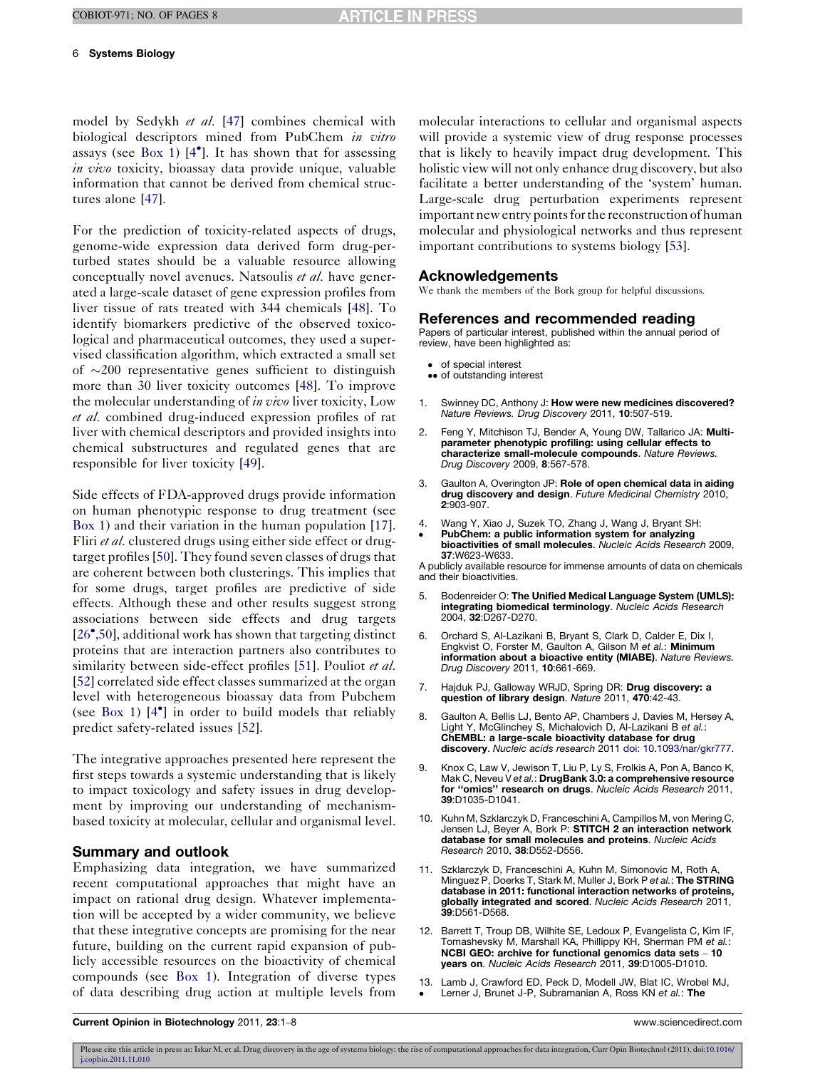model by Sedykh et al. [\[47](#page-7-0)] combines chemical with biological descriptors mined from PubChem in vitro assays (see [Box](#page-2-0) 1)  $[4^{\bullet}]$  $[4^{\bullet}]$  $[4^{\bullet}]$ . It has shown that for assessing in vivo toxicity, bioassay data provide unique, valuable information that cannot be derived from chemical structures alone [[47\]](#page-7-0).

For the prediction of toxicity-related aspects of drugs, genome-wide expression data derived form drug-perturbed states should be a valuable resource allowing conceptually novel avenues. Natsoulis et al. have generated a large-scale dataset of gene expression profiles from liver tissue of rats treated with 344 chemicals [\[48](#page-7-0)]. To identify biomarkers predictive of the observed toxicological and pharmaceutical outcomes, they used a supervised classification algorithm, which extracted a small set of  $\sim$ 200 representative genes sufficient to distinguish more than 30 liver toxicity outcomes [[48\]](#page-7-0). To improve the molecular understanding of in vivo liver toxicity, Low et al. combined drug-induced expression profiles of rat liver with chemical descriptors and provided insights into chemical substructures and regulated genes that are responsible for liver toxicity [[49\]](#page-7-0).

Side effects of FDA-approved drugs provide information on human phenotypic response to drug treatment (see [Box](#page-2-0) 1) and their variation in the human population [\[17](#page-6-0)]. Fliri et al. clustered drugs using either side effect or drugtarget profiles[\[50](#page-7-0)]. They found seven classes of drugs that are coherent between both clusterings. This implies that for some drugs, target profiles are predictive of side effects. Although these and other results suggest strong associations between side effects and drug targets [\[26](#page-6-0)<sup>•</sup>[,50](#page-6-0)], additional work has shown that targeting distinct proteins that are interaction partners also contributes to similarity between side-effect profiles [[51\]](#page-7-0). Pouliot et al. [\[52](#page-7-0)] correlated side effect classes summarized at the organ level with heterogeneous bioassay data from Pubchem (see [Box](#page-2-0) 1)  $[4^{\bullet}]$  $[4^{\bullet}]$  in order to build models that reliably predict safety-related issues [[52\]](#page-7-0).

The integrative approaches presented here represent the first steps towards a systemic understanding that is likely to impact toxicology and safety issues in drug development by improving our understanding of mechanismbased toxicity at molecular, cellular and organismal level.

## Summary and outlook

Emphasizing data integration, we have summarized recent computational approaches that might have an impact on rational drug design. Whatever implementation will be accepted by a wider community, we believe that these integrative concepts are promising for the near future, building on the current rapid expansion of publicly accessible resources on the bioactivity of chemical compounds (see [Box](#page-2-0) 1). Integration of diverse types of data describing drug action at multiple levels from

molecular interactions to cellular and organismal aspects will provide a systemic view of drug response processes that is likely to heavily impact drug development. This holistic view will not only enhance drug discovery, but also facilitate a better understanding of the 'system' human. Large-scale drug perturbation experiments represent important new entry points for the reconstruction of human molecular and physiological networks and thus represent important contributions to systems biology [\[53](#page-7-0)].

## Acknowledgements

We thank the members of the Bork group for helpful discussions.

#### References and recommended reading

Papers of particular interest, published within the annual period of review, have been highlighted as:

- of special interest
- •• of outstanding interest
- 1. Swinney DC, Anthony J: How were new medicines discovered? Nature Reviews. Drug Discovery 2011, 10:507-519.
- 2. Feng Y, Mitchison TJ, Bender A, Young DW, Tallarico JA: Multiparameter phenotypic profiling: using cellular effects to characterize small-molecule compounds. Nature Reviews. Drug Discovery 2009, 8:567-578.
- 3. Gaulton A, Overington JP: Role of open chemical data in aiding drug discovery and design. Future Medicinal Chemistry 2010, 2:903-907.
- 4. Wang Y, Xiao J, Suzek TO, Zhang J, Wang J, Bryant SH:
- **.** PubChem: a public information system for analyzing bioactivities of small molecules. Nucleic Acids Research 2009, 37:W623-W633.

A publicly available resource for immense amounts of data on chemicals and their bioactivities.

- 5. Bodenreider O: The Unified Medical Language System (UMLS): integrating biomedical terminology. Nucleic Acids Research 2004, 32:D267-D270.
- 6. Orchard S, Al-Lazikani B, Bryant S, Clark D, Calder E, Dix I, Engkvist O, Forster M, Gaulton A, Gilson M et al.: Minimum information about a bioactive entity (MIABE). Nature Reviews. Drug Discovery 2011, 10:661-669.
- 7. Hajduk PJ, Galloway WRJD, Spring DR: Drug discovery: a question of library design. Nature 2011, 470:42-43.
- 8. Gaulton A, Bellis LJ, Bento AP, Chambers J, Davies M, Hersey A, Light Y, McGlinchey S, Michalovich D, Al-Lazikani B et al.: ChEMBL: a large-scale bioactivity database for drug discovery. Nucleic acids research 2011 doi: [10.1093/nar/gkr777](http://dx.doi.org/10.1093/nar/gkr777).
- 9. Knox C, Law V, Jewison T, Liu P, Ly S, Frolkis A, Pon A, Banco K, Mak C, Neveu V et al.: DrugBank 3.0: a comprehensive resource<br>for "omics" research on drugs. Nucleic Acids Research 2011, 39:D1035-D1041.
- 10. Kuhn M, Szklarczyk D, Franceschini A, Campillos M, von Mering C, Jensen LJ, Beyer A, Bork P: STITCH 2 an interaction network database for small molecules and proteins. Nucleic Acids Research 2010, 38:D552-D556.
- 11. Szklarczyk D, Franceschini A, Kuhn M, Simonovic M, Roth A, Minguez P, Doerks T, Stark M, Muller J, Bork P et al.: The STRING database in 2011: functional interaction networks of proteins, globally integrated and scored. Nucleic Acids Research 2011, 39:D561-D568.
- 12. Barrett T, Troup DB, Wilhite SE, Ledoux P, Evangelista C, Kim IF, Tomashevsky M, Marshall KA, Phillippy KH, Sherman PM et al.: NCBI GEO: archive for functional genomics data sets – 10 years on. Nucleic Acids Research 2011, 39:D1005-D1010.
- 13. Lamb J, Crawford ED, Peck D, Modell JW, Blat IC, Wrobel MJ,  $^{\bullet}$ Lerner J, Brunet J-P, Subramanian A, Ross KN et al.: The

<span id="page-5-0"></span>Current Opinion in Biotechnology 2011, 23:1–8 www.sciencedirect.com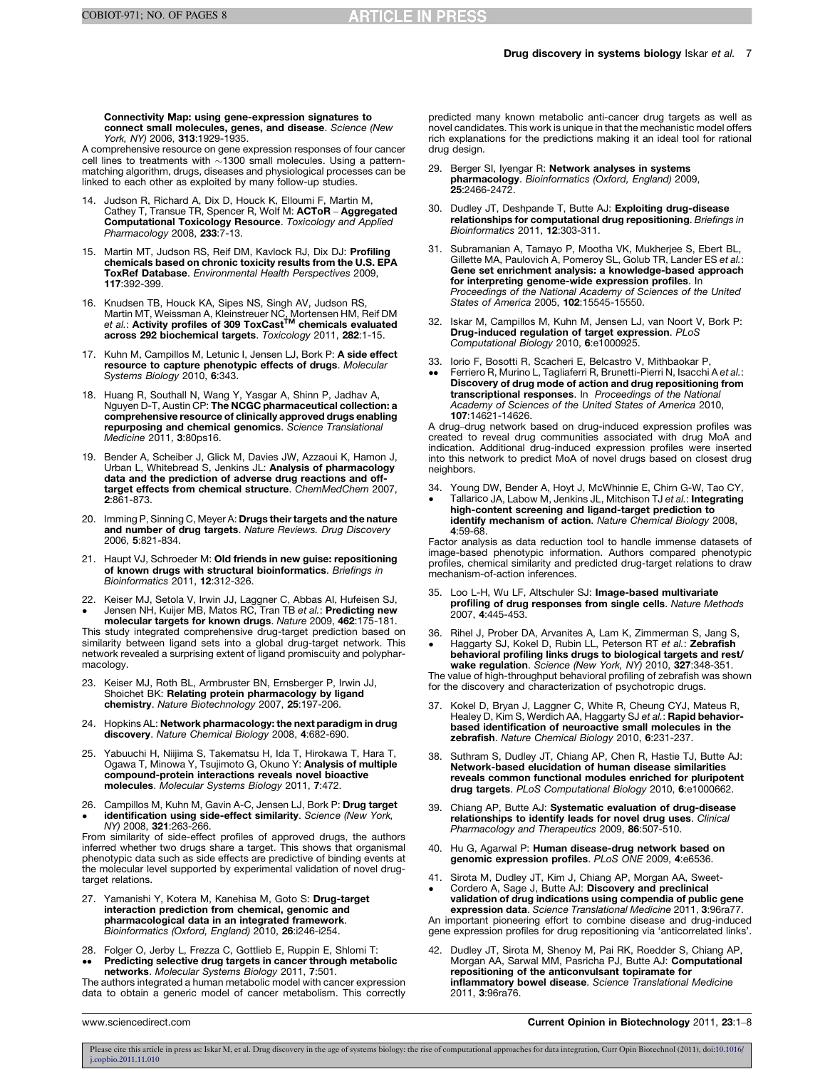Connectivity Map: using gene-expression signatures to connect small molecules, genes, and disease. Science (New York, NY) 2006, 313:1929-1935.

A comprehensive resource on gene expression responses of four cancer<br>cell lines to treatments with ~1300 small molecules. Using a patternmatching algorithm, drugs, diseases and physiological processes can be linked to each other as exploited by many follow-up studies.

- 14. Judson R, Richard A, Dix D, Houck K, Elloumi F, Martin M, Cathey T, Transue TR, Spencer R, Wolf M: ACToR - Aggregated **Computational Toxicology Resource**. *Toxicology and Applied*<br>*Pharmacology* 2008, **233**:7-13.
- 15. Martin MT, Judson RS, Reif DM, Kavlock RJ, Dix DJ: Profiling chemicals based on chronic toxicity results from the U.S. EPA ToxRef Database. Environmental Health Perspectives 2009, 117:392-399.
- 16. Knudsen TB, Houck KA, Sipes NS, Singh AV, Judson RS, Martin MT, Weissman A, Kleinstreuer NC, Mortensen HM, Reif DM<br>*et al.*: **Activity profiles of 309 ToxCast<sup>TM</sup> chemicals evaluated** across 292 biochemical targets. Toxicology 2011, 282:1-15.
- 17. Kuhn M, Campillos M, Letunic I, Jensen LJ, Bork P: A side effect resource to capture phenotypic effects of drugs. Molecular Systems Biology 2010, 6:343.
- 18. Huang R, Southall N, Wang Y, Yasgar A, Shinn P, Jadhav A, Nguyen D-T, Austin CP: The NCGC pharmaceutical collection: a comprehensive resource of clinically approved drugs enabling repurposing and chemical genomics. Science Translational Medicine 2011, 3:80ps16.
- 19. Bender A, Scheiber J, Glick M, Davies JW, Azzaoui K, Hamon J,<br>Urban L, Whitebread S, Jenkins JL: Analysis of pharmacology data and the prediction of adverse drug reactions and off-<br>target effects from chemical structure. ChemMedChem 2007, 2:861-873.
- 20. Imming P, Sinning C, Meyer A: Drugs their targets and the nature and number of drug targets. Nature Reviews. Drug Discovery 2006, 5:821-834.
- 21. Haupt VJ, Schroeder M: Old friends in new guise: repositioning of known drugs with structural bioinformatics. Briefings in Bioinformatics 2011, 12:312-326.
- 22.  $^{\bullet}$ Keiser MJ, Setola V, Irwin JJ, Laggner C, Abbas AI, Hufeisen SJ,<br>Jensen NH, Kuijer MB, Matos RC, Tran TB *et al.*: **Predicting new** molecular targets for known drugs. Nature 2009, 462:175-181.

This study integrated comprehensive drug-target prediction based on similarity between ligand sets into a global drug-target network. This network revealed a surprising extent of ligand promiscuity and polypharmacology.

- 23. Keiser MJ, Roth BL, Armbruster BN, Ernsberger P, Irwin JJ, Shoichet BK: Relating protein pharmacology by ligand chemistry. Nature Biotechnology 2007, 25:197-206.
- 24. Hopkins AL: **Network pharmacology: the next paradigm in drug**<br>**discovery**. *Nature Chemical Biology 2*008, 4:682-690.
- 25. Yabuuchi H, Niijima S, Takematsu H, Ida T, Hirokawa T, Hara T, Ogawa T, Minowa Y, Tsujimoto G, Okuno Y: Analysis of multiple compound-protein interactions reveals novel bioactive molecules. Molecular Systems Biology 2011, 7:472.
- 26.  $^{\bullet}$ Campillos M, Kuhn M, Gavin A-C, Jensen LJ, Bork P: Drug target identification using side-effect similarity. Science (New York, NY) 2008, 321:263-266.

From similarity of side-effect profiles of approved drugs, the authors inferred whether two drugs share a target. This shows that organismal phenotypic data such as side effects are predictive of binding events at the molecular level supported by experimental validation of novel drugtarget relations.

- 27. Yamanishi Y, Kotera M, Kanehisa M, Goto S: Drug-target interaction prediction from chemical, genomic and pharmacological data in an integrated framework. Bioinformatics (Oxford, England) 2010, 26:i246-i254.
- 28. Folger O, Jerby L, Frezza C, Gottlieb E, Ruppin E, Shlomi T:
- **..** Predicting selective drug targets in cancer through metabolic networks. Molecular Systems Biology 2011, 7:501.

The authors integrated a human metabolic model with cancer expression data to obtain a generic model of cancer metabolism. This correctly predicted many known metabolic anti-cancer drug targets as well as novel candidates. This work is unique in that the mechanistic model offers rich explanations for the predictions making it an ideal tool for rational drug design.

- 29. Berger SI, Iyengar R: Network analyses in systems pharmacology. Bioinformatics (Oxford, England) 2009, 25:2466-2472.
- 30. Dudley JT, Deshpande T, Butte AJ: Exploiting drug-disease relationships for computational drug repositioning. Briefings in Bioinformatics 2011, 12:303-311.
- 31. Subramanian A, Tamayo P, Mootha VK, Mukherjee S, Ebert BL, Gillette MA, Paulovich A, Pomeroy SL, Golub TR, Lander ES et al.: Gene set enrichment analysis: a knowledge-based approach for interpreting genome-wide expression profiles. In Proceedings of the National Academy of Sciences of the United States of America 2005, 102:15545-15550.
- 32. Iskar M, Campillos M, Kuhn M, Jensen LJ, van Noort V, Bork P: Drug-induced regulation of target expression. PLoS Computational Biology 2010, 6:e1000925.
- 33. Iorio F, Bosotti R, Scacheri E, Belcastro V, Mithbaokar P,
- <u>..</u> Ferriero R, Murino L, Tagliaferri R, Brunetti-Pierri N, Isacchi A et al.: Discovery of drug mode of action and drug repositioning from transcriptional responses. In Proceedings of the National Academy of Sciences of the United States of America 2010, 107:14621-14626.

A drug–drug network based on drug-induced expression profiles was created to reveal drug communities associated with drug MoA and indication. Additional drug-induced expression profiles were inserted into this network to predict MoA of novel drugs based on closest drug neighbors.

34. Young DW, Bender A, Hoyt J, McWhinnie E, Chirn G-W, Tao CY,

**.** Tallarico JA, Labow M, Jenkins JL, Mitchison TJ et al.: Integrating high-content screening and ligand-target prediction to identify mechanism of action. Nature Chemical Biology 2008, 4:59-68.

Factor analysis as data reduction tool to handle immense datasets of image-based phenotypic information. Authors compared phenotypic profiles, chemical similarity and predicted drug-target relations to draw mechanism-of-action inferences.

35. Loo L-H, Wu LF, Altschuler SJ: Image-based multivariate profiling of drug responses from single cells. Nature Methods 2007, 4:445-453.

36. **.** Rihel J, Prober DA, Arvanites A, Lam K, Zimmerman S, Jang S,<br>Haggarty SJ, Kokel D, Rubin LL, Peterson RT e*t al*.: **Zebrafish** behavioral profiling links drugs to biological targets and rest/ wake regulation. Science (New York, NY) 2010, 327:348-351.

The value of high-throughput behavioral profiling of zebrafish was shown for the discovery and characterization of psychotropic drugs.

- 37. Kokel D, Bryan J, Laggner C, White R, Cheung CYJ, Mateus R,<br>Healey D, Kim S, Werdich AA, Haggarty SJ e*t al.*: **Rapid behavior**based identification of neuroactive small molecules in the zebrafish. Nature Chemical Biology 2010, 6:231-237.
- 38. Suthram S, Dudley JT, Chiang AP, Chen R, Hastie TJ, Butte AJ: Network-based elucidation of human disease similarities reveals common functional modules enriched for pluripotent drug targets. PLoS Computational Biology 2010, 6:e1000662.
- 39. Chiang AP, Butte AJ: Systematic evaluation of drug-disease relationships to identify leads for novel drug uses. Clinical Pharmacology and Therapeutics 2009, 86:507-510.
- 40. Hu G, Agarwal P: Human disease-drug network based on genomic expression profiles. PLoS ONE 2009, 4:e6536.
- 41. **.** Sirota M, Dudley JT, Kim J, Chiang AP, Morgan AA, Sweet-<br>Cordero A, Sage J, Butte AJ: **Discovery and preclinical**<br>**validation of drug indications using compendia of public gene** expression data. Science Translational Medicine 2011, 3:96ra77.

An important pioneering effort to combine disease and drug-induced gene expression profiles for drug repositioning via 'anticorrelated links'.

Dudley JT, Sirota M, Shenoy M, Pai RK, Roedder S, Chiang AP Morgan AA, Sarwal MM, Pasricha PJ, Butte AJ: Computational repositioning of the anticonvulsant topiramate for inflammatory bowel disease. Science Translational Medicine 2011, 3:96ra76.

## <span id="page-6-0"></span>www.sciencedirect.com **Current Opinion in Biotechnology** 2011, 23:1–8